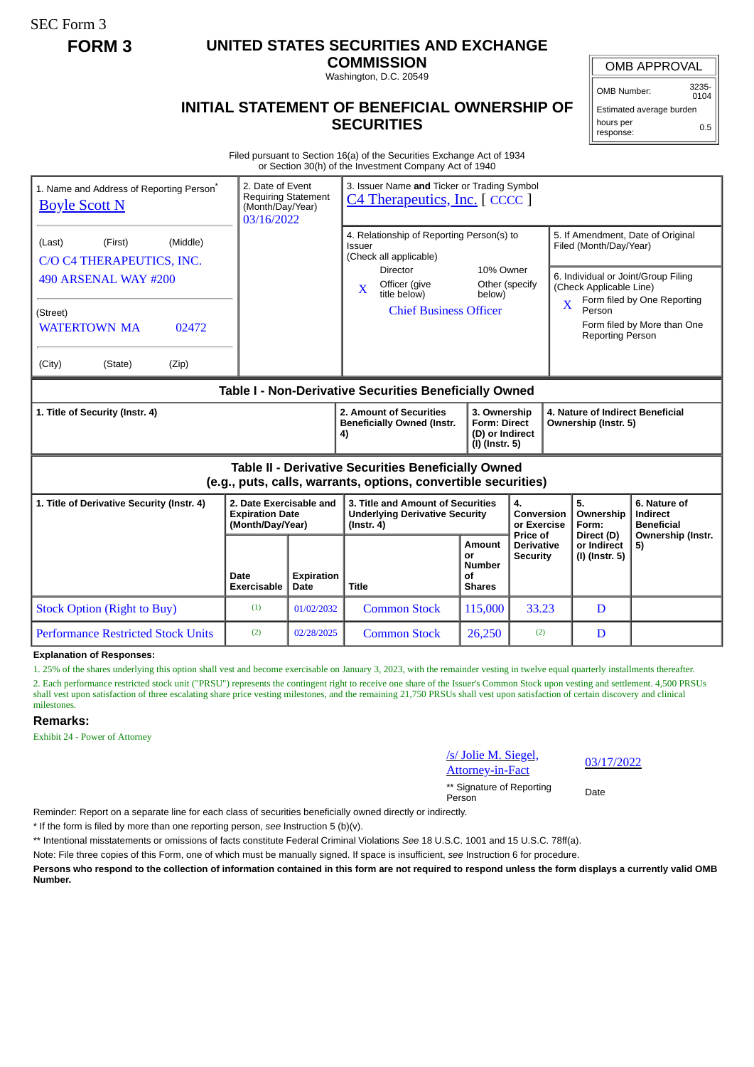SEC Form 3

# **FORM 3 UNITED STATES SECURITIES AND EXCHANGE**

**COMMISSION**

Washington, D.C. 20549

## **INITIAL STATEMENT OF BENEFICIAL OWNERSHIP OF SECURITIES**

OMB Number: 3235- 0104

Estimated average burden hours per response: 0.5

Filed pursuant to Section 16(a) of the Securities Exchange Act of 1934 or Section 30(h) of the Investment Company Act of 1940

| 1. Name and Address of Reporting Person <sup>®</sup><br><b>Boyle Scott N</b>                                          | 2. Date of Event<br>Requiring Statement<br>(Month/Day/Year)<br>03/16/2022 |                           | 3. Issuer Name and Ticker or Trading Symbol<br>C4 Therapeutics, Inc. [CCCC]              |                                                                          |                                                          |                                                                                               |                                               |  |
|-----------------------------------------------------------------------------------------------------------------------|---------------------------------------------------------------------------|---------------------------|------------------------------------------------------------------------------------------|--------------------------------------------------------------------------|----------------------------------------------------------|-----------------------------------------------------------------------------------------------|-----------------------------------------------|--|
| (First)<br>(Middle)<br>(Last)<br>C/O C4 THERAPEUTICS, INC.                                                            |                                                                           |                           | 4. Relationship of Reporting Person(s) to<br>Issuer<br>(Check all applicable)            |                                                                          |                                                          | 5. If Amendment, Date of Original<br>Filed (Month/Day/Year)                                   |                                               |  |
| 490 ARSENAL WAY #200                                                                                                  |                                                                           |                           | Director<br>Officer (give<br>X<br>title below)                                           | 10% Owner<br>Other (specify<br>below)                                    |                                                          | 6. Individual or Joint/Group Filing<br>(Check Applicable Line)<br>Form filed by One Reporting |                                               |  |
| (Street)<br><b>WATERTOWN MA</b><br>02472                                                                              |                                                                           |                           | <b>Chief Business Officer</b>                                                            |                                                                          | X                                                        | Person<br>Form filed by More than One<br><b>Reporting Person</b>                              |                                               |  |
| (City)<br>(State)<br>(Zip)                                                                                            |                                                                           |                           |                                                                                          |                                                                          |                                                          |                                                                                               |                                               |  |
| Table I - Non-Derivative Securities Beneficially Owned                                                                |                                                                           |                           |                                                                                          |                                                                          |                                                          |                                                                                               |                                               |  |
| 1. Title of Security (Instr. 4)                                                                                       |                                                                           |                           | 2. Amount of Securities<br><b>Beneficially Owned (Instr.</b><br>4)                       | 3. Ownership<br><b>Form: Direct</b><br>(D) or Indirect<br>(I) (Instr. 5) | 4. Nature of Indirect Beneficial<br>Ownership (Instr. 5) |                                                                                               |                                               |  |
| Table II - Derivative Securities Beneficially Owned<br>(e.g., puts, calls, warrants, options, convertible securities) |                                                                           |                           |                                                                                          |                                                                          |                                                          |                                                                                               |                                               |  |
| 1. Title of Derivative Security (Instr. 4)                                                                            | 2. Date Exercisable and<br><b>Expiration Date</b><br>(Month/Day/Year)     |                           | 3. Title and Amount of Securities<br><b>Underlying Derivative Security</b><br>(Instr. 4) |                                                                          | 4.<br><b>Conversion</b><br>or Exercise<br>Price of       | 5.<br>Ownership<br>Form:                                                                      | 6. Nature of<br>Indirect<br><b>Beneficial</b> |  |
|                                                                                                                       | Date<br><b>Exercisable</b>                                                | <b>Expiration</b><br>Date | Title                                                                                    | Amount<br>or<br><b>Number</b><br>οf<br><b>Shares</b>                     | <b>Derivative</b><br><b>Security</b>                     | Direct (D)<br>or Indirect<br>(I) (Instr. 5)                                                   | Ownership (Instr.<br>5)                       |  |
| <b>Stock Option (Right to Buy)</b>                                                                                    | (1)                                                                       | 01/02/2032                | <b>Common Stock</b>                                                                      | 115,000                                                                  | 33.23                                                    | D                                                                                             |                                               |  |
| <b>Performance Restricted Stock Units</b>                                                                             | (2)                                                                       | 02/28/2025                | <b>Common Stock</b>                                                                      | 26,250                                                                   | (2)                                                      | D                                                                                             |                                               |  |

**Explanation of Responses:**

1. 25% of the shares underlying this option shall vest and become exercisable on January 3, 2023, with the remainder vesting in twelve equal quarterly installments thereafter. 2. Each performance restricted stock unit ("PRSU") represents the contingent right to receive one share of the Issuer's Common Stock upon vesting and settlement. 4,500 PRSUs

### shall vest upon satisfaction of three escalating share price vesting milestones, and the remaining 21,750 PRSUs shall vest upon satisfaction of certain discovery and clinical milestones.

### **Remarks:**

Exhibit 24 - Power of Attorney

| /s/ Jolie M. Siegel,                | 03/1 |  |  |
|-------------------------------------|------|--|--|
| <b>Attorney-in-Fact</b>             |      |  |  |
| ** Signature of Reporting<br>Person | Date |  |  |

03/17/2022

Reminder: Report on a separate line for each class of securities beneficially owned directly or indirectly.

\* If the form is filed by more than one reporting person, *see* Instruction 5 (b)(v).

\*\* Intentional misstatements or omissions of facts constitute Federal Criminal Violations *See* 18 U.S.C. 1001 and 15 U.S.C. 78ff(a).

Note: File three copies of this Form, one of which must be manually signed. If space is insufficient, *see* Instruction 6 for procedure.

**Persons who respond to the collection of information contained in this form are not required to respond unless the form displays a currently valid OMB Number.**

OMB APPROVAL